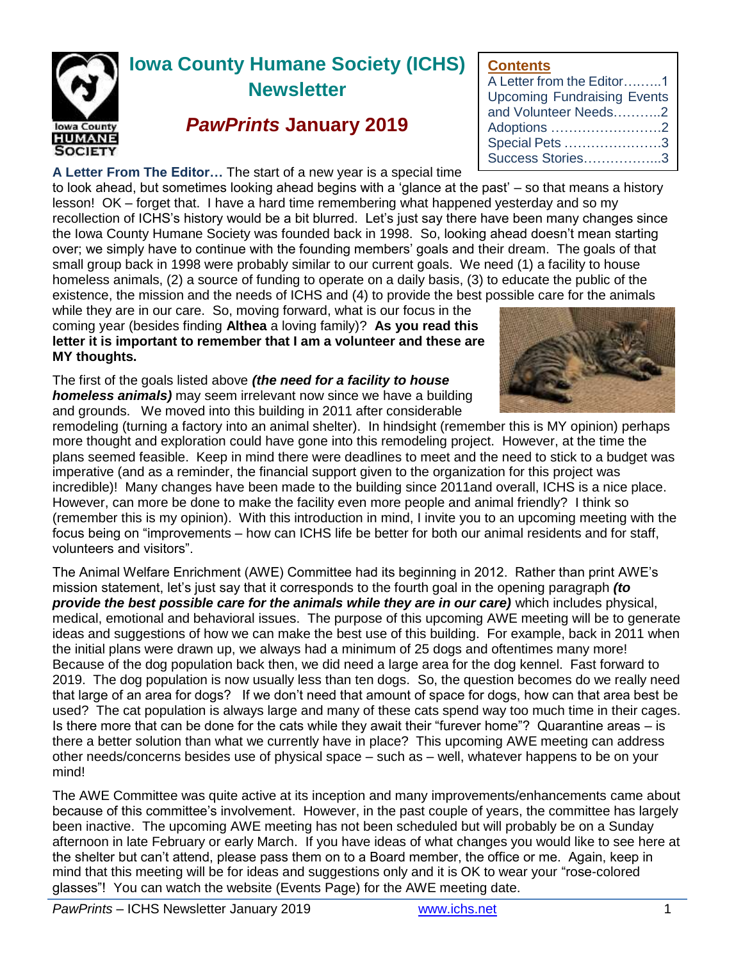

# **Iowa County Humane Society (ICHS) Newsletter**

# *PawPrints* **January 2019**

**A Letter From The Editor…** The start of a new year is a special time

to look ahead, but sometimes looking ahead begins with a 'glance at the past' – so that means a history lesson! OK – forget that. I have a hard time remembering what happened yesterday and so my recollection of ICHS's history would be a bit blurred. Let's just say there have been many changes since the Iowa County Humane Society was founded back in 1998. So, looking ahead doesn't mean starting over; we simply have to continue with the founding members' goals and their dream. The goals of that small group back in 1998 were probably similar to our current goals. We ne homeless animals, (2) a source of funding to operate on a daily basis, (3) to existence, the mission and the needs of ICHS and (4) to provide the best po

while they are in our care. So, moving forward, what is our focus in the coming year (besides finding **Althea** a loving family)? **As you read this letter it is important to remember that I am a volunteer and these are MY thoughts.**

The first of the goals listed above *(the need for a facility to house homeless animals)* may seem irrelevant now since we have a building and grounds. We moved into this building in 2011 after considerable

remodeling (turning a factory into an animal shelter). In hindsight (remember this is MY opinion) perhaps more thought and exploration could have gone into this remodeling project. However, at the time the plans seemed feasible. Keep in mind there were deadlines to meet and the need to stick to a budget was imperative (and as a reminder, the financial support given to the organization for this project was incredible)! Many changes have been made to the building since 2011and overall, ICHS is a nice place. However, can more be done to make the facility even more people and animal friendly? I think so (remember this is my opinion). With this introduction in mind, I invite you to an upcoming meeting with the focus being on "improvements – how can ICHS life be better for both our animal residents and for staff, volunteers and visitors".

The Animal Welfare Enrichment (AWE) Committee had its beginning in 2012. Rather than print AWE's mission statement, let's just say that it corresponds to the fourth goal in the opening paragraph *(to provide the best possible care for the animals while they are in our care)* which includes physical, medical, emotional and behavioral issues. The purpose of this upcoming AWE meeting will be to generate ideas and suggestions of how we can make the best use of this building. For example, back in 2011 when the initial plans were drawn up, we always had a minimum of 25 dogs and oftentimes many more! Because of the dog population back then, we did need a large area for the dog kennel. Fast forward to 2019. The dog population is now usually less than ten dogs. So, the question becomes do we really need that large of an area for dogs? If we don't need that amount of space for dogs, how can that area best be used? The cat population is always large and many of these cats spend way too much time in their cages. Is there more that can be done for the cats while they await their "furever home"? Quarantine areas – is there a better solution than what we currently have in place? This upcoming AWE meeting can address other needs/concerns besides use of physical space – such as – well, whatever happens to be on your mind!

The AWE Committee was quite active at its inception and many improvements/enhancements came about because of this committee's involvement. However, in the past couple of years, the committee has largely been inactive. The upcoming AWE meeting has not been scheduled but will probably be on a Sunday afternoon in late February or early March. If you have ideas of what changes you would like to see here at the shelter but can't attend, please pass them on to a Board member, the office or me. Again, keep in mind that this meeting will be for ideas and suggestions only and it is OK to wear your "rose-colored glasses"! You can watch the website (Events Page) for the AWE meeting date.

| ed (1) a facility to house   |  |  |  |  |  |  |  |  |
|------------------------------|--|--|--|--|--|--|--|--|
| educate the public of the    |  |  |  |  |  |  |  |  |
| ossible care for the animals |  |  |  |  |  |  |  |  |
|                              |  |  |  |  |  |  |  |  |
|                              |  |  |  |  |  |  |  |  |
|                              |  |  |  |  |  |  |  |  |

A Letter from the Editor….…..1 Upcoming Fundraising Events and Volunteer Needs………..2 Adoptions …………………….2 Special Pets ………………….3 Success Stories……………...3

**Contents**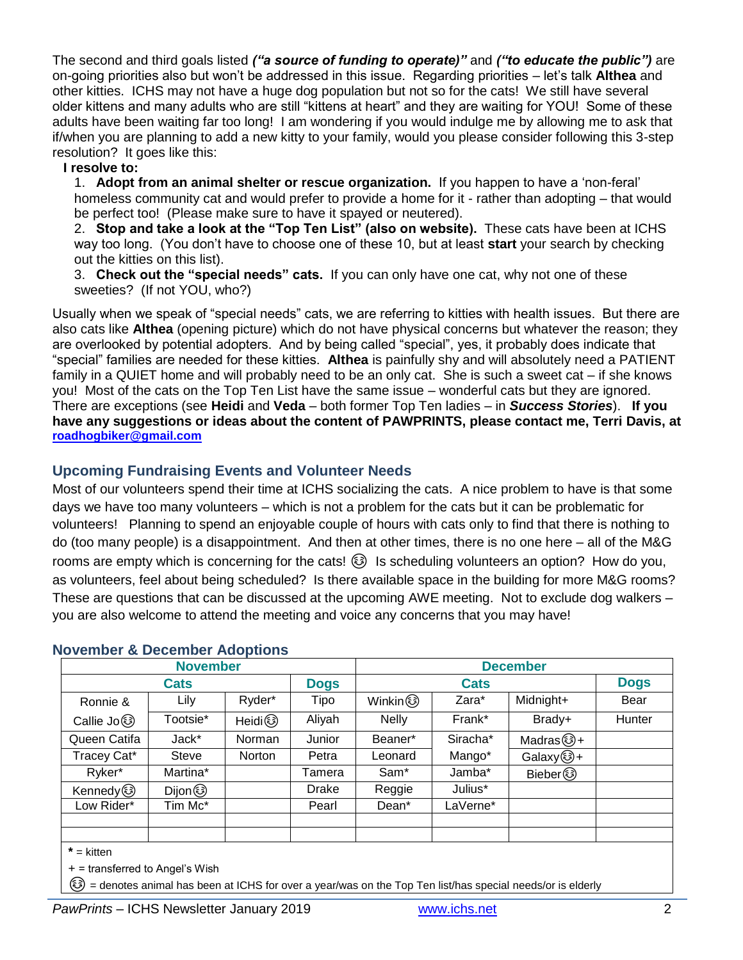The second and third goals listed *("a source of funding to operate)"* and *("to educate the public")* are on-going priorities also but won't be addressed in this issue. Regarding priorities – let's talk **Althea** and other kitties. ICHS may not have a huge dog population but not so for the cats! We still have several older kittens and many adults who are still "kittens at heart" and they are waiting for YOU! Some of these adults have been waiting far too long! I am wondering if you would indulge me by allowing me to ask that if/when you are planning to add a new kitty to your family, would you please consider following this 3-step resolution? It goes like this:

#### **I resolve to:**

1. **Adopt from an animal shelter or rescue organization.** If you happen to have a 'non-feral' homeless community cat and would prefer to provide a home for it - rather than adopting – that would be perfect too! (Please make sure to have it spayed or neutered).

2. **Stop and take a look at the "Top Ten List" (also on website).** These cats have been at ICHS way too long. (You don't have to choose one of these 10, but at least **start** your search by checking out the kitties on this list).

3. **Check out the "special needs" cats.** If you can only have one cat, why not one of these sweeties? (If not YOU, who?)

Usually when we speak of "special needs" cats, we are referring to kitties with health issues. But there are also cats like **Althea** (opening picture) which do not have physical concerns but whatever the reason; they are overlooked by potential adopters. And by being called "special", yes, it probably does indicate that "special" families are needed for these kitties. **Althea** is painfully shy and will absolutely need a PATIENT family in a QUIET home and will probably need to be an only cat. She is such a sweet cat – if she knows you! Most of the cats on the Top Ten List have the same issue – wonderful cats but they are ignored. There are exceptions (see **Heidi** and **Veda** – both former Top Ten ladies – in *Success Stories*). **If you have any suggestions or ideas about the content of PAWPRINTS, please contact me, Terri Davis, at [roadhogbiker@gmail.com](mailto:roadhogbiker@gmail.com)**

# **Upcoming Fundraising Events and Volunteer Needs**

Most of our volunteers spend their time at ICHS socializing the cats. A nice problem to have is that some days we have too many volunteers – which is not a problem for the cats but it can be problematic for volunteers! Planning to spend an enjoyable couple of hours with cats only to find that there is nothing to do (too many people) is a disappointment. And then at other times, there is no one here – all of the M&G rooms are empty which is concerning for the cats!  $\circled{3}$  Is scheduling volunteers an option? How do you, as volunteers, feel about being scheduled? Is there available space in the building for more M&G rooms? These are questions that can be discussed at the upcoming AWE meeting. Not to exclude dog walkers – you are also welcome to attend the meeting and voice any concerns that you may have!

| <b>November</b> |              |               |             | <b>December</b>   |          |                        |             |
|-----------------|--------------|---------------|-------------|-------------------|----------|------------------------|-------------|
| <b>Cats</b>     |              |               | <b>Dogs</b> | <b>Cats</b>       |          |                        | <b>Dogs</b> |
| Ronnie &        | Lily         | Ryder*        | Tipo        | Winkin ③          | Zara*    | Midnight+              | Bear        |
| Callie Jo 3     | Tootsie*     | Heidi 3       | Aliyah      | <b>Nelly</b>      | Frank*   | Brady+                 | Hunter      |
| Queen Catifa    | Jack*        | Norman        | Junior      | Beaner*           | Siracha* | Madras $\circled{3}$ + |             |
| Tracey Cat*     | <b>Steve</b> | <b>Norton</b> | Petra       | ∟eonard           | Mango*   | Galaxy.3+              |             |
| Ryker*          | Martina*     |               | Tamera      | Sam <sup>*</sup>  | Jamba*   | Bieber 3               |             |
| Kennedy (       | Dijon 3      |               | Drake       | Reggie            | Julius*  |                        |             |
| Low Rider*      | Tim Mc*      |               | Pearl       | Dean <sup>*</sup> | LaVerne* |                        |             |
|                 |              |               |             |                   |          |                        |             |
|                 |              |               |             |                   |          |                        |             |

#### **November & December Adoptions**

**\*** = kitten

+ = transferred to Angel's Wish

☺ = denotes animal has been at ICHS for over a year/was on the Top Ten list/has special needs/or is elderly